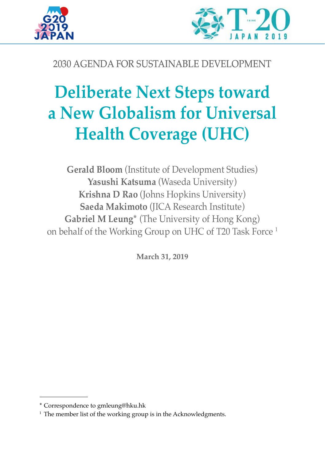



# 2030 AGENDA FOR SUSTAINABLE DEVELOPMENT

# **Deliberate Next Steps toward a New Globalism for Universal Health Coverage (UHC)**

**Gerald Bloom** (Institute of Development Studies) **Yasushi Katsuma** (Waseda University) **Krishna D Rao** (Johns Hopkins University) **Saeda Makimoto** (JICA Research Institute) **Gabriel M Leung\*** (The University of Hong Kong) on behalf of the Working Group on UHC of T20 Task Force 1

**March 31, 2019**

<sup>\*</sup> Correspondence to gmleung@hku.hk

 $1$  The member list of the working group is in the Acknowledgments.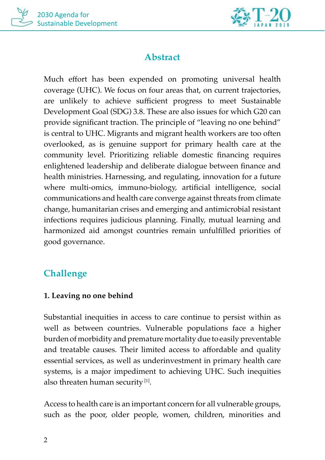



# **Abstract**

Much effort has been expended on promoting universal health coverage (UHC). We focus on four areas that, on current trajectories, are unlikely to achieve sufficient progress to meet Sustainable Development Goal (SDG) 3.8. These are also issues for which G20 can provide significant traction. The principle of "leaving no one behind" is central to UHC. Migrants and migrant health workers are too often overlooked, as is genuine support for primary health care at the community level. Prioritizing reliable domestic financing requires enlightened leadership and deliberate dialogue between finance and health ministries. Harnessing, and regulating, innovation for a future where multi-omics, immuno-biology, artificial intelligence, social communications and health care converge against threats from climate change, humanitarian crises and emerging and antimicrobial resistant infections requires judicious planning. Finally, mutual learning and harmonized aid amongst countries remain unfulfilled priorities of good governance.

# **Challenge**

#### **1. Leaving no one behind**

Substantial inequities in access to care continue to persist within as well as between countries. Vulnerable populations face a higher burden of morbidity and premature mortality due to easily preventable and treatable causes. Their limited access to affordable and quality essential services, as well as underinvestment in primary health care systems, is a major impediment to achieving UHC. Such inequities also threaten human security [1].

Access to health care is an important concern for all vulnerable groups, such as the poor, older people, women, children, minorities and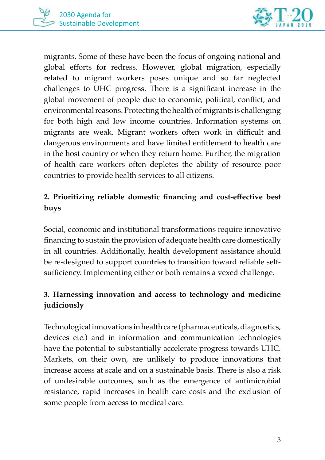

migrants. Some of these have been the focus of ongoing national and global efforts for redress. However, global migration, especially related to migrant workers poses unique and so far neglected challenges to UHC progress. There is a significant increase in the global movement of people due to economic, political, conflict, and environmental reasons. Protecting the health of migrants is challenging for both high and low income countries. Information systems on migrants are weak. Migrant workers often work in difficult and dangerous environments and have limited entitlement to health care in the host country or when they return home. Further, the migration of health care workers often depletes the ability of resource poor countries to provide health services to all citizens.

## **2. Prioritizing reliable domestic financing and cost-effective best buys**

Social, economic and institutional transformations require innovative financing to sustain the provision of adequate health care domestically in all countries. Additionally, health development assistance should be re-designed to support countries to transition toward reliable selfsufficiency. Implementing either or both remains a vexed challenge.

## **3. Harnessing innovation and access to technology and medicine judiciously**

Technological innovations in health care (pharmaceuticals, diagnostics, devices etc.) and in information and communication technologies have the potential to substantially accelerate progress towards UHC. Markets, on their own, are unlikely to produce innovations that increase access at scale and on a sustainable basis. There is also a risk of undesirable outcomes, such as the emergence of antimicrobial resistance, rapid increases in health care costs and the exclusion of some people from access to medical care.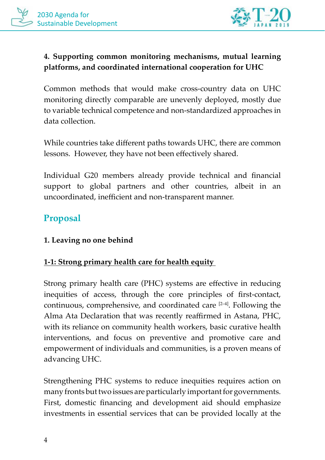

## **4. Supporting common monitoring mechanisms, mutual learning platforms, and coordinated international cooperation for UHC**

Common methods that would make cross-country data on UHC monitoring directly comparable are unevenly deployed, mostly due to variable technical competence and non-standardized approaches in data collection.

While countries take different paths towards UHC, there are common lessons. However, they have not been effectively shared.

Individual G20 members already provide technical and financial support to global partners and other countries, albeit in an uncoordinated, inefficient and non-transparent manner.

# **Proposal**

#### **1. Leaving no one behind**

#### **1-1: Strong primary health care for health equity**

Strong primary health care (PHC) systems are effective in reducing inequities of access, through the core principles of first-contact, continuous, comprehensive, and coordinated care  $[2-4]$ . Following the Alma Ata Declaration that was recently reaffirmed in Astana, PHC, with its reliance on community health workers, basic curative health interventions, and focus on preventive and promotive care and empowerment of individuals and communities, is a proven means of advancing UHC.

Strengthening PHC systems to reduce inequities requires action on many fronts but two issues are particularly important for governments. First, domestic financing and development aid should emphasize investments in essential services that can be provided locally at the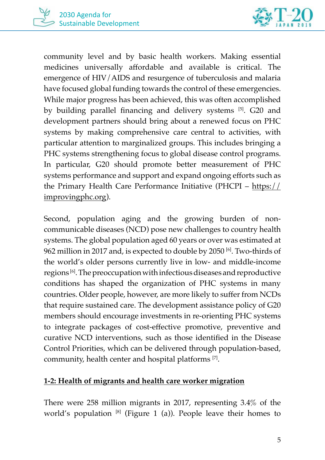

community level and by basic health workers. Making essential medicines universally affordable and available is critical. The emergence of HIV/AIDS and resurgence of tuberculosis and malaria have focused global funding towards the control of these emergencies. While major progress has been achieved, this was often accomplished by building parallel financing and delivery systems [5]. G20 and development partners should bring about a renewed focus on PHC systems by making comprehensive care central to activities, with particular attention to marginalized groups. This includes bringing a PHC systems strengthening focus to global disease control programs. In particular, G20 should promote better measurement of PHC systems performance and support and expand ongoing efforts such as the Primary Health Care Performance Initiative (PHCPI – https:// improvingphc.org).

Second, population aging and the growing burden of noncommunicable diseases (NCD) pose new challenges to country health systems. The global population aged 60 years or over was estimated at 962 million in 2017 and, is expected to double by 2050 [6]. Two-thirds of the world's older persons currently live in low- and middle-income regions [6]. The preoccupation with infectious diseases and reproductive conditions has shaped the organization of PHC systems in many countries. Older people, however, are more likely to suffer from NCDs that require sustained care. The development assistance policy of G20 members should encourage investments in re-orienting PHC systems to integrate packages of cost-effective promotive, preventive and curative NCD interventions, such as those identified in the Disease Control Priorities, which can be delivered through population-based, community, health center and hospital platforms [7].

#### **1-2: Health of migrants and health care worker migration**

There were 258 million migrants in 2017, representing 3.4% of the world's population  $[8]$  (Figure 1 (a)). People leave their homes to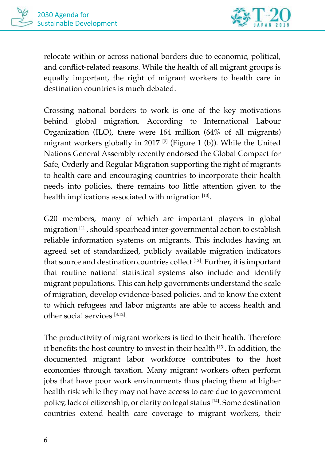

relocate within or across national borders due to economic, political, and conflict-related reasons. While the health of all migrant groups is equally important, the right of migrant workers to health care in destination countries is much debated.

Crossing national borders to work is one of the key motivations behind global migration. According to International Labour Organization (ILO), there were 164 million (64% of all migrants) migrant workers globally in 2017<sup>[9]</sup> (Figure 1 (b)). While the United Nations General Assembly recently endorsed the Global Compact for Safe, Orderly and Regular Migration supporting the right of migrants to health care and encouraging countries to incorporate their health needs into policies, there remains too little attention given to the health implications associated with migration [10].

G20 members, many of which are important players in global migration [11], should spearhead inter-governmental action to establish reliable information systems on migrants. This includes having an agreed set of standardized, publicly available migration indicators that source and destination countries collect [12]. Further, it is important that routine national statistical systems also include and identify migrant populations. This can help governments understand the scale of migration, develop evidence-based policies, and to know the extent to which refugees and labor migrants are able to access health and other social services [8,12].

The productivity of migrant workers is tied to their health. Therefore it benefits the host country to invest in their health [13]. In addition, the documented migrant labor workforce contributes to the host economies through taxation. Many migrant workers often perform jobs that have poor work environments thus placing them at higher health risk while they may not have access to care due to government policy, lack of citizenship, or clarity on legal status [14]. Some destination countries extend health care coverage to migrant workers, their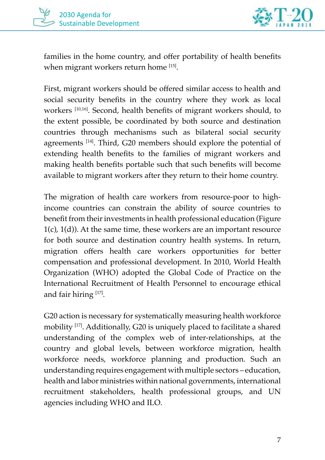

families in the home country, and offer portability of health benefits when migrant workers return home [15].

First, migrant workers should be offered similar access to health and social security benefits in the country where they work as local workers [10,16]. Second, health benefits of migrant workers should, to the extent possible, be coordinated by both source and destination countries through mechanisms such as bilateral social security agreements [14]. Third, G20 members should explore the potential of extending health benefits to the families of migrant workers and making health benefits portable such that such benefits will become available to migrant workers after they return to their home country.

The migration of health care workers from resource-poor to highincome countries can constrain the ability of source countries to benefit from their investments in health professional education (Figure  $1(c)$ ,  $1(d)$ ). At the same time, these workers are an important resource for both source and destination country health systems. In return, migration offers health care workers opportunities for better compensation and professional development. In 2010, World Health Organization (WHO) adopted the Global Code of Practice on the International Recruitment of Health Personnel to encourage ethical and fair hiring [17].

G20 action is necessary for systematically measuring health workforce mobility [17]. Additionally, G20 is uniquely placed to facilitate a shared understanding of the complex web of inter-relationships, at the country and global levels, between workforce migration, health workforce needs, workforce planning and production. Such an understanding requires engagement with multiple sectors – education, health and labor ministries within national governments, international recruitment stakeholders, health professional groups, and UN agencies including WHO and ILO.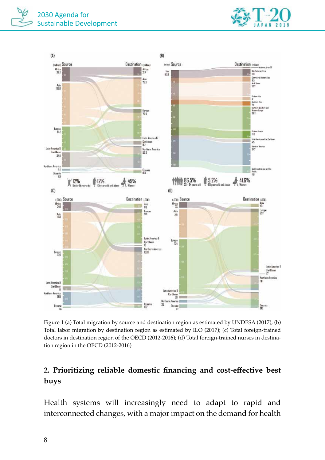



Figure 1 (a) Total migration by source and destination region as estimated by UNDESA (2017); (b) Total labor migration by destination region as estimated by ILO (2017); (c) Total foreign-trained doctors in destination region of the OECD (2012-2016); (d) Total foreign-trained nurses in destination region in the OECD (2012-2016)

## **2. Prioritizing reliable domestic financing and cost-effective best buys**

Health systems will increasingly need to adapt to rapid and interconnected changes, with a major impact on the demand for health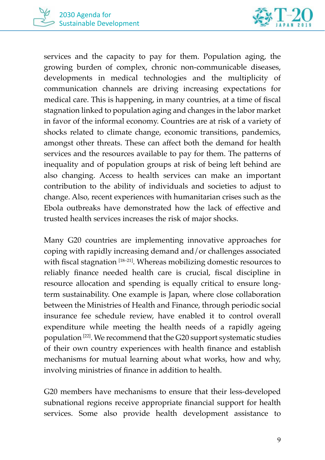



services and the capacity to pay for them. Population aging, the growing burden of complex, chronic non-communicable diseases, developments in medical technologies and the multiplicity of communication channels are driving increasing expectations for medical care. This is happening, in many countries, at a time of fiscal stagnation linked to population aging and changes in the labor market in favor of the informal economy. Countries are at risk of a variety of shocks related to climate change, economic transitions, pandemics, amongst other threats. These can affect both the demand for health services and the resources available to pay for them. The patterns of inequality and of population groups at risk of being left behind are also changing. Access to health services can make an important contribution to the ability of individuals and societies to adjust to change. Also, recent experiences with humanitarian crises such as the Ebola outbreaks have demonstrated how the lack of effective and trusted health services increases the risk of major shocks.

Many G20 countries are implementing innovative approaches for coping with rapidly increasing demand and/or challenges associated with fiscal stagnation [18-21]. Whereas mobilizing domestic resources to reliably finance needed health care is crucial, fiscal discipline in resource allocation and spending is equally critical to ensure longterm sustainability. One example is Japan, where close collaboration between the Ministries of Health and Finance, through periodic social insurance fee schedule review, have enabled it to control overall expenditure while meeting the health needs of a rapidly ageing population [22]. We recommend that the G20 support systematic studies of their own country experiences with health finance and establish mechanisms for mutual learning about what works, how and why, involving ministries of finance in addition to health.

G20 members have mechanisms to ensure that their less-developed subnational regions receive appropriate financial support for health services. Some also provide health development assistance to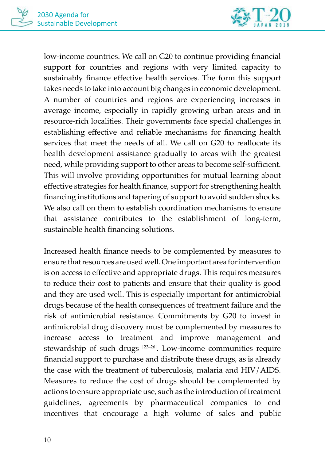

low-income countries. We call on G20 to continue providing financial support for countries and regions with very limited capacity to sustainably finance effective health services. The form this support takes needs to take into account big changes in economic development. A number of countries and regions are experiencing increases in average income, especially in rapidly growing urban areas and in resource-rich localities. Their governments face special challenges in establishing effective and reliable mechanisms for financing health services that meet the needs of all. We call on G20 to reallocate its health development assistance gradually to areas with the greatest need, while providing support to other areas to become self-sufficient. This will involve providing opportunities for mutual learning about effective strategies for health finance, support for strengthening health financing institutions and tapering of support to avoid sudden shocks. We also call on them to establish coordination mechanisms to ensure that assistance contributes to the establishment of long-term, sustainable health financing solutions.

Increased health finance needs to be complemented by measures to ensure that resources are used well. One important area for intervention is on access to effective and appropriate drugs. This requires measures to reduce their cost to patients and ensure that their quality is good and they are used well. This is especially important for antimicrobial drugs because of the health consequences of treatment failure and the risk of antimicrobial resistance. Commitments by G20 to invest in antimicrobial drug discovery must be complemented by measures to increase access to treatment and improve management and stewardship of such drugs [23–26]. Low-income communities require financial support to purchase and distribute these drugs, as is already the case with the treatment of tuberculosis, malaria and HIV/AIDS. Measures to reduce the cost of drugs should be complemented by actions to ensure appropriate use, such as the introduction of treatment guidelines, agreements by pharmaceutical companies to end incentives that encourage a high volume of sales and public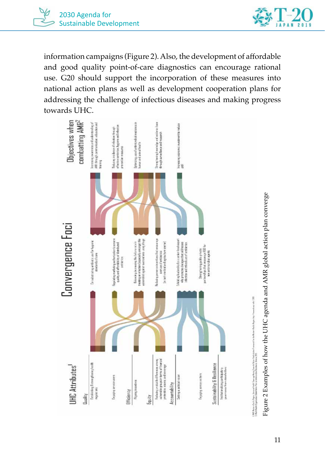



information campaigns (Figure 2). Also, the development of affordable and good quality point-of-care diagnostics can encourage rational use. G20 should support the incorporation of these measures into national action plans as well as development cooperation plans for addressing the challenge of infectious diseases and making progress towards UHC.



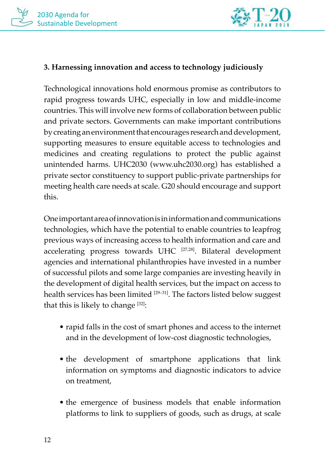

#### **3. Harnessing innovation and access to technology judiciously**

Technological innovations hold enormous promise as contributors to rapid progress towards UHC, especially in low and middle-income countries. This will involve new forms of collaboration between public and private sectors. Governments can make important contributions by creating an environment that encourages research and development, supporting measures to ensure equitable access to technologies and medicines and creating regulations to protect the public against unintended harms. UHC2030 (www.uhc2030.org) has established a private sector constituency to support public-private partnerships for meeting health care needs at scale. G20 should encourage and support this.

One important area of innovation is in information and communications technologies, which have the potential to enable countries to leapfrog previous ways of increasing access to health information and care and accelerating progress towards UHC [27,28]. Bilateral development agencies and international philanthropies have invested in a number of successful pilots and some large companies are investing heavily in the development of digital health services, but the impact on access to health services has been limited [29-31]. The factors listed below suggest that this is likely to change  $[32]$ :

- rapid falls in the cost of smart phones and access to the internet and in the development of low-cost diagnostic technologies,
- the development of smartphone applications that link information on symptoms and diagnostic indicators to advice on treatment,
- the emergence of business models that enable information platforms to link to suppliers of goods, such as drugs, at scale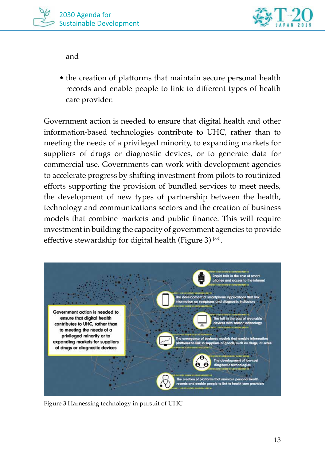

and

• the creation of platforms that maintain secure personal health records and enable people to link to different types of health care provider.

Government action is needed to ensure that digital health and other information-based technologies contribute to UHC, rather than to meeting the needs of a privileged minority, to expanding markets for suppliers of drugs or diagnostic devices, or to generate data for commercial use. Governments can work with development agencies to accelerate progress by shifting investment from pilots to routinized efforts supporting the provision of bundled services to meet needs, the development of new types of partnership between the health, technology and communications sectors and the creation of business models that combine markets and public finance. This will require investment in building the capacity of government agencies to provide effective stewardship for digital health (Figure 3) [33].



Figure 3 Harnessing technology in pursuit of UHC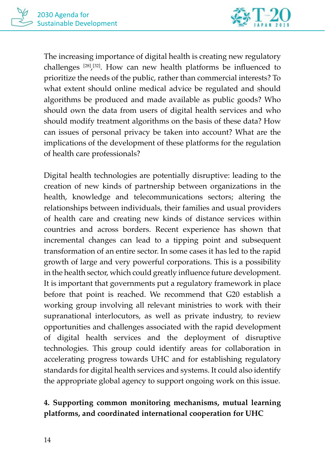

The increasing importance of digital health is creating new regulatory challenges [28], [32]. How can new health platforms be influenced to prioritize the needs of the public, rather than commercial interests? To what extent should online medical advice be regulated and should algorithms be produced and made available as public goods? Who should own the data from users of digital health services and who should modify treatment algorithms on the basis of these data? How can issues of personal privacy be taken into account? What are the implications of the development of these platforms for the regulation of health care professionals?

Digital health technologies are potentially disruptive: leading to the creation of new kinds of partnership between organizations in the health, knowledge and telecommunications sectors; altering the relationships between individuals, their families and usual providers of health care and creating new kinds of distance services within countries and across borders. Recent experience has shown that incremental changes can lead to a tipping point and subsequent transformation of an entire sector. In some cases it has led to the rapid growth of large and very powerful corporations. This is a possibility in the health sector, which could greatly influence future development. It is important that governments put a regulatory framework in place before that point is reached. We recommend that G20 establish a working group involving all relevant ministries to work with their supranational interlocutors, as well as private industry, to review opportunities and challenges associated with the rapid development of digital health services and the deployment of disruptive technologies. This group could identify areas for collaboration in accelerating progress towards UHC and for establishing regulatory standards for digital health services and systems. It could also identify the appropriate global agency to support ongoing work on this issue.

# **4. Supporting common monitoring mechanisms, mutual learning platforms, and coordinated international cooperation for UHC**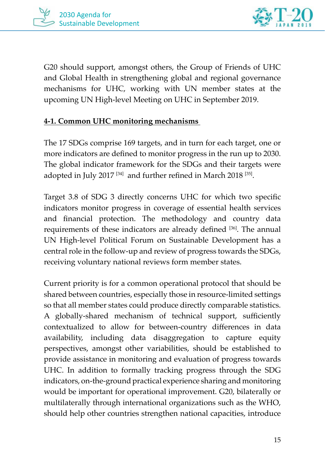



G20 should support, amongst others, the Group of Friends of UHC and Global Health in strengthening global and regional governance mechanisms for UHC, working with UN member states at the upcoming UN High-level Meeting on UHC in September 2019.

#### **4-1. Common UHC monitoring mechanisms**

The 17 SDGs comprise 169 targets, and in turn for each target, one or more indicators are defined to monitor progress in the run up to 2030. The global indicator framework for the SDGs and their targets were adopted in July 2017<sup>[34]</sup> and further refined in March 2018<sup>[35]</sup>.

Target 3.8 of SDG 3 directly concerns UHC for which two specific indicators monitor progress in coverage of essential health services and financial protection. The methodology and country data requirements of these indicators are already defined [36]. The annual UN High-level Political Forum on Sustainable Development has a central role in the follow-up and review of progress towards the SDGs, receiving voluntary national reviews form member states.

Current priority is for a common operational protocol that should be shared between countries, especially those in resource-limited settings so that all member states could produce directly comparable statistics. A globally-shared mechanism of technical support, sufficiently contextualized to allow for between-country differences in data availability, including data disaggregation to capture equity perspectives, amongst other variabilities, should be established to provide assistance in monitoring and evaluation of progress towards UHC. In addition to formally tracking progress through the SDG indicators, on-the-ground practical experience sharing and monitoring would be important for operational improvement. G20, bilaterally or multilaterally through international organizations such as the WHO, should help other countries strengthen national capacities, introduce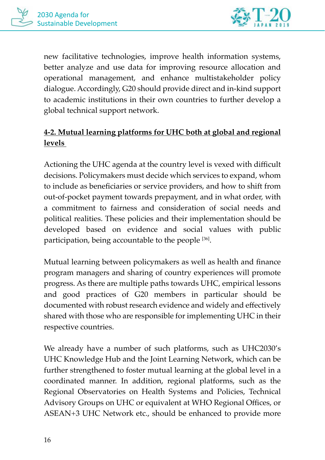

new facilitative technologies, improve health information systems, better analyze and use data for improving resource allocation and operational management, and enhance multistakeholder policy dialogue. Accordingly, G20 should provide direct and in-kind support to academic institutions in their own countries to further develop a global technical support network.

# **4-2. Mutual learning platforms for UHC both at global and regional levels**

Actioning the UHC agenda at the country level is vexed with difficult decisions. Policymakers must decide which services to expand, whom to include as beneficiaries or service providers, and how to shift from out-of-pocket payment towards prepayment, and in what order, with a commitment to fairness and consideration of social needs and political realities. These policies and their implementation should be developed based on evidence and social values with public participation, being accountable to the people [36].

Mutual learning between policymakers as well as health and finance program managers and sharing of country experiences will promote progress. As there are multiple paths towards UHC, empirical lessons and good practices of G20 members in particular should be documented with robust research evidence and widely and effectively shared with those who are responsible for implementing UHC in their respective countries.

We already have a number of such platforms, such as UHC2030's UHC Knowledge Hub and the Joint Learning Network, which can be further strengthened to foster mutual learning at the global level in a coordinated manner. In addition, regional platforms, such as the Regional Observatories on Health Systems and Policies, Technical Advisory Groups on UHC or equivalent at WHO Regional Offices, or ASEAN+3 UHC Network etc., should be enhanced to provide more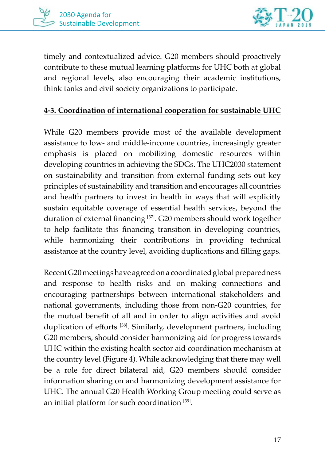

timely and contextualized advice. G20 members should proactively contribute to these mutual learning platforms for UHC both at global and regional levels, also encouraging their academic institutions, think tanks and civil society organizations to participate.

#### **4-3. Coordination of international cooperation for sustainable UHC**

While G20 members provide most of the available development assistance to low- and middle-income countries, increasingly greater emphasis is placed on mobilizing domestic resources within developing countries in achieving the SDGs. The UHC2030 statement on sustainability and transition from external funding sets out key principles of sustainability and transition and encourages all countries and health partners to invest in health in ways that will explicitly sustain equitable coverage of essential health services, beyond the duration of external financing [37]. G20 members should work together to help facilitate this financing transition in developing countries, while harmonizing their contributions in providing technical assistance at the country level, avoiding duplications and filling gaps.

Recent G20 meetings have agreed on a coordinated global preparedness and response to health risks and on making connections and encouraging partnerships between international stakeholders and national governments, including those from non-G20 countries, for the mutual benefit of all and in order to align activities and avoid duplication of efforts [38]. Similarly, development partners, including G20 members, should consider harmonizing aid for progress towards UHC within the existing health sector aid coordination mechanism at the country level (Figure 4). While acknowledging that there may well be a role for direct bilateral aid, G20 members should consider information sharing on and harmonizing development assistance for UHC. The annual G20 Health Working Group meeting could serve as an initial platform for such coordination [39].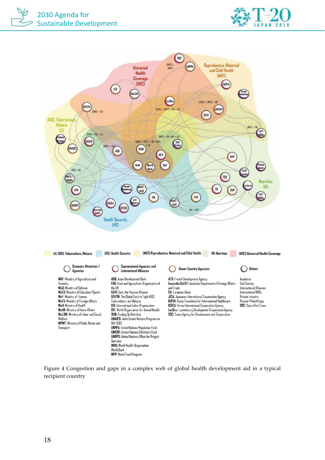



Figure 4 Congestion and gaps in a complex web of global health development aid in a typical recipient country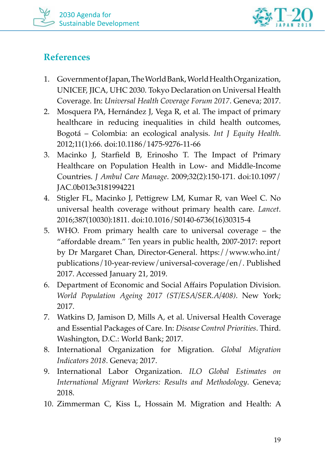



# **References**

- 1. Government of Japan, The World Bank, World Health Organization, UNICEF, JICA, UHC 2030. Tokyo Declaration on Universal Health Coverage. In: *Universal Health Coverage Forum 2017*. Geneva; 2017.
- 2. Mosquera PA, Hernández J, Vega R, et al. The impact of primary healthcare in reducing inequalities in child health outcomes, Bogotá – Colombia: an ecological analysis. *Int J Equity Health*. 2012;11(1):66. doi:10.1186/1475-9276-11-66
- 3. Macinko J, Starfield B, Erinosho T. The Impact of Primary Healthcare on Population Health in Low- and Middle-Income Countries. *J Ambul Care Manage*. 2009;32(2):150-171. doi:10.1097/ JAC.0b013e3181994221
- 4. Stigler FL, Macinko J, Pettigrew LM, Kumar R, van Weel C. No universal health coverage without primary health care. *Lancet*. 2016;387(10030):1811. doi:10.1016/S0140-6736(16)30315-4
- 5. WHO. From primary health care to universal coverage the "affordable dream." Ten years in public health, 2007-2017: report by Dr Margaret Chan, Director-General. https://www.who.int/ publications/10-year-review/universal-coverage/en/. Published 2017. Accessed January 21, 2019.
- 6. Department of Economic and Social Affairs Population Division. *World Population Ageing 2017 (ST/ESA/SER.A/408)*. New York; 2017.
- 7. Watkins D, Jamison D, Mills A, et al. Universal Health Coverage and Essential Packages of Care. In: *Disease Control Priorities*. Third. Washington, D.C.: World Bank; 2017.
- 8. International Organization for Migration. *Global Migration Indicators 2018*. Geneva; 2017.
- 9. International Labor Organization. *ILO Global Estimates on International Migrant Workers: Results and Methodology*. Geneva; 2018.
- 10. Zimmerman C, Kiss L, Hossain M. Migration and Health: A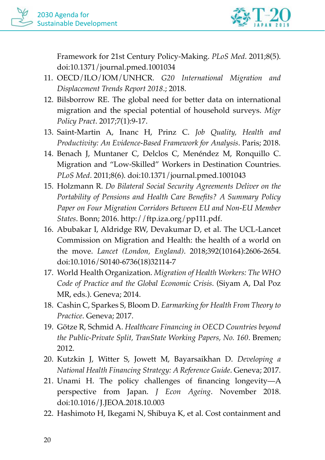

Framework for 21st Century Policy-Making. *PLoS Med*. 2011;8(5). doi:10.1371/journal.pmed.1001034

- 11. OECD/ILO/IOM/UNHCR. *G20 International Migration and Displacement Trends Report 2018*.; 2018.
- 12. Bilsborrow RE. The global need for better data on international migration and the special potential of household surveys. *Migr Policy Pract*. 2017;7(1):9-17.
- 13. Saint-Martin A, Inanc H, Prinz C. *Job Quality, Health and Productivity: An Evidence-Based Framework for Analysis*. Paris; 2018.
- 14. Benach J, Muntaner C, Delclos C, Menéndez M, Ronquillo C. Migration and "Low-Skilled" Workers in Destination Countries. *PLoS Med*. 2011;8(6). doi:10.1371/journal.pmed.1001043
- 15. Holzmann R. *Do Bilateral Social Security Agreements Deliver on the Portability of Pensions and Health Care Benefits? A Summary Policy Paper on Four Migration Corridors Between EU and Non-EU Member States*. Bonn; 2016. http://ftp.iza.org/pp111.pdf.
- 16. Abubakar I, Aldridge RW, Devakumar D, et al. The UCL-Lancet Commission on Migration and Health: the health of a world on the move. *Lancet (London, England)*. 2018;392(10164):2606-2654. doi:10.1016/S0140-6736(18)32114-7
- 17. World Health Organization. *Migration of Health Workers: The WHO Code of Practice and the Global Economic Crisis*. (Siyam A, Dal Poz MR, eds.). Geneva; 2014.
- 18. Cashin C, Sparkes S, Bloom D. *Earmarking for Health From Theory to Practice*. Geneva; 2017.
- 19. Götze R, Schmid A. *Healthcare Financing in OECD Countries beyond the Public-Private Split, TranState Working Papers, No. 160*. Bremen; 2012.
- 20. Kutzkin J, Witter S, Jowett M, Bayarsaikhan D. *Developing a National Health Financing Strategy: A Reference Guide*. Geneva; 2017.
- 21. Unami H. The policy challenges of financing longevity—A perspective from Japan. *J Econ Ageing*. November 2018. doi:10.1016/J.JEOA.2018.10.003
- 22. Hashimoto H, Ikegami N, Shibuya K, et al. Cost containment and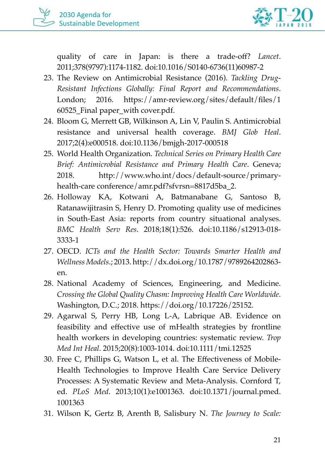

quality of care in Japan: is there a trade-off? *Lancet*. 2011;378(9797):1174-1182. doi:10.1016/S0140-6736(11)60987-2

- 23. The Review on Antimicrobial Resistance (2016). *Tackling Drug-Resistant Infections Globally: Final Report and Recommendations*. London; 2016. https://amr-review.org/sites/default/files/1 60525\_Final paper\_with cover.pdf.
- 24. Bloom G, Merrett GB, Wilkinson A, Lin V, Paulin S. Antimicrobial resistance and universal health coverage. *BMJ Glob Heal*. 2017;2(4):e000518. doi:10.1136/bmjgh-2017-000518
- 25. World Health Organization. *Technical Series on Primary Health Care Brief: Antimicrobial Resistance and Primary Health Care*. Geneva; 2018. http://www.who.int/docs/default-source/primaryhealth-care conference/amr.pdf?sfvrsn=8817d5ba\_2.
- 26. Holloway KA, Kotwani A, Batmanabane G, Santoso B, Ratanawijitrasin S, Henry D. Promoting quality use of medicines in South-East Asia: reports from country situational analyses. *BMC Health Serv Res*. 2018;18(1):526. doi:10.1186/s12913-018- 3333-1
- 27. OECD. *ICTs and the Health Sector: Towards Smarter Health and Wellness Models*.; 2013. http://dx.doi.org/10.1787/9789264202863 en.
- 28. National Academy of Sciences, Engineering, and Medicine. *Crossing the Global Quality Chasm: Improving Health Care Worldwide*. Washington, D.C.; 2018. https://doi.org/10.17226/25152.
- 29. Agarwal S, Perry HB, Long L-A, Labrique AB. Evidence on feasibility and effective use of mHealth strategies by frontline health workers in developing countries: systematic review. *Trop Med Int Heal*. 2015;20(8):1003-1014. doi:10.1111/tmi.12525
- 30. Free C, Phillips G, Watson L, et al. The Effectiveness of Mobile-Health Technologies to Improve Health Care Service Delivery Processes: A Systematic Review and Meta-Analysis. Cornford T, ed. *PLoS Med*. 2013;10(1):e1001363. doi:10.1371/journal.pmed. 1001363
- 31. Wilson K, Gertz B, Arenth B, Salisbury N. *The Journey to Scale:*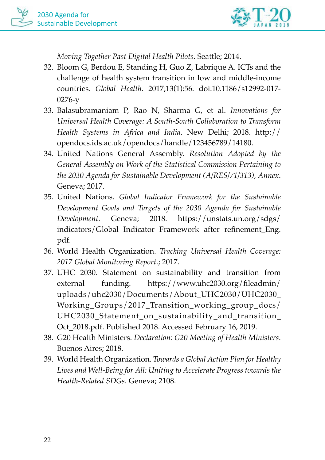

*Moving Together Past Digital Health Pilots*. Seattle; 2014.

- 32. Bloom G, Berdou E, Standing H, Guo Z, Labrique A. ICTs and the challenge of health system transition in low and middle-income countries. *Global Health*. 2017;13(1):56. doi:10.1186/s12992-017- 0276-y
- 33. Balasubramaniam P, Rao N, Sharma G, et al. *Innovations for Universal Health Coverage: A South-South Collaboration to Transform Health Systems in Africa and India*. New Delhi; 2018. http:// opendocs.ids.ac.uk/opendocs/handle/123456789/14180.
- 34. United Nations General Assembly. *Resolution Adopted by the General Assembly on Work of the Statistical Commission Pertaining to the 2030 Agenda for Sustainable Development (A/RES/71/313), Annex*. Geneva; 2017.
- 35. United Nations. *Global Indicator Framework for the Sustainable Development Goals and Targets of the 2030 Agenda for Sustainable Development*. Geneva; 2018. https://unstats.un.org/sdgs/ indicators/Global Indicator Framework after refinement\_Eng. pdf.
- 36. World Health Organization. *Tracking Universal Health Coverage: 2017 Global Monitoring Report*.; 2017.
- 37. UHC 2030. Statement on sustainability and transition from external funding. https://www.uhc2030.org/fileadmin/ uploads/uhc2030/Documents/About\_UHC2030/UHC2030\_ Working\_Groups/2017\_Transition\_working\_group\_docs/ UHC2030\_Statement\_on\_sustainability\_and\_transition\_ Oct\_2018.pdf. Published 2018. Accessed February 16, 2019.
- 38. G20 Health Ministers. *Declaration: G20 Meeting of Health Ministers*. Buenos Aires; 2018.
- 39. World Health Organization. *Towards a Global Action Plan for Healthy Lives and Well-Being for All: Uniting to Accelerate Progress towards the Health-Related SDGs*. Geneva; 2108.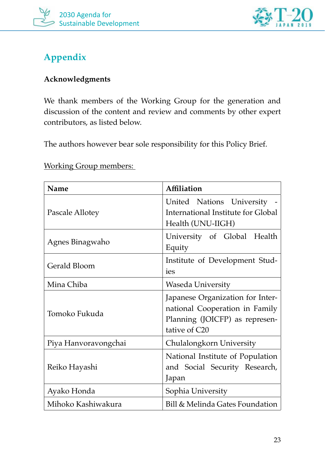



# **Appendix**

#### **Acknowledgments**

We thank members of the Working Group for the generation and discussion of the content and review and comments by other expert contributors, as listed below.

The authors however bear sole responsibility for this Policy Brief.

Working Group members:

| Name                 | Affiliation                                                                                                           |
|----------------------|-----------------------------------------------------------------------------------------------------------------------|
| Pascale Allotey      | United Nations University<br>International Institute for Global<br>Health (UNU-IIGH)                                  |
| Agnes Binagwaho      | University of Global Health<br>Equity                                                                                 |
| Gerald Bloom         | Institute of Development Stud-<br>ies                                                                                 |
| Mina Chiba           | Waseda University                                                                                                     |
| Tomoko Fukuda        | Japanese Organization for Inter-<br>national Cooperation in Family<br>Planning (JOICFP) as represen-<br>tative of C20 |
| Piya Hanvoravongchai | Chulalongkorn University                                                                                              |
| Reiko Hayashi        | National Institute of Population<br>and Social Security Research,<br>Japan                                            |
| Ayako Honda          | Sophia University                                                                                                     |
| Mihoko Kashiwakura   | Bill & Melinda Gates Foundation                                                                                       |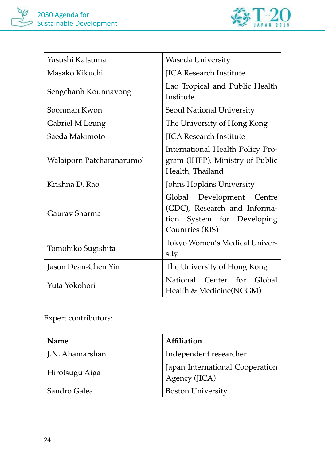

| Yasushi Katsuma           | Waseda University                                                                                          |
|---------------------------|------------------------------------------------------------------------------------------------------------|
| Masako Kikuchi            | <b>JICA Research Institute</b>                                                                             |
| Sengchanh Kounnavong      | Lao Tropical and Public Health<br>Institute                                                                |
| Soonman Kwon              | Seoul National University                                                                                  |
| Gabriel M Leung           | The University of Hong Kong                                                                                |
| Saeda Makimoto            | <b>JICA Research Institute</b>                                                                             |
| Walaiporn Patcharanarumol | International Health Policy Pro-<br>gram (IHPP), Ministry of Public<br>Health, Thailand                    |
| Krishna D. Rao            | Johns Hopkins University                                                                                   |
| Gaurav Sharma             | Global Development Centre<br>(GDC), Research and Informa-<br>tion System for Developing<br>Countries (RIS) |
| Tomohiko Sugishita        | Tokyo Women's Medical Univer-<br>sity                                                                      |
| Jason Dean-Chen Yin       | The University of Hong Kong                                                                                |
| Yuta Yokohori             | National Center for Global<br>Health & Medicine(NCGM)                                                      |

## Expert contributors:

| Name            | Affiliation                                      |
|-----------------|--------------------------------------------------|
| J.N. Ahamarshan | Independent researcher                           |
| Hirotsugu Aiga  | Japan International Cooperation<br>Agency (JICA) |
| Sandro Galea    | <b>Boston University</b>                         |